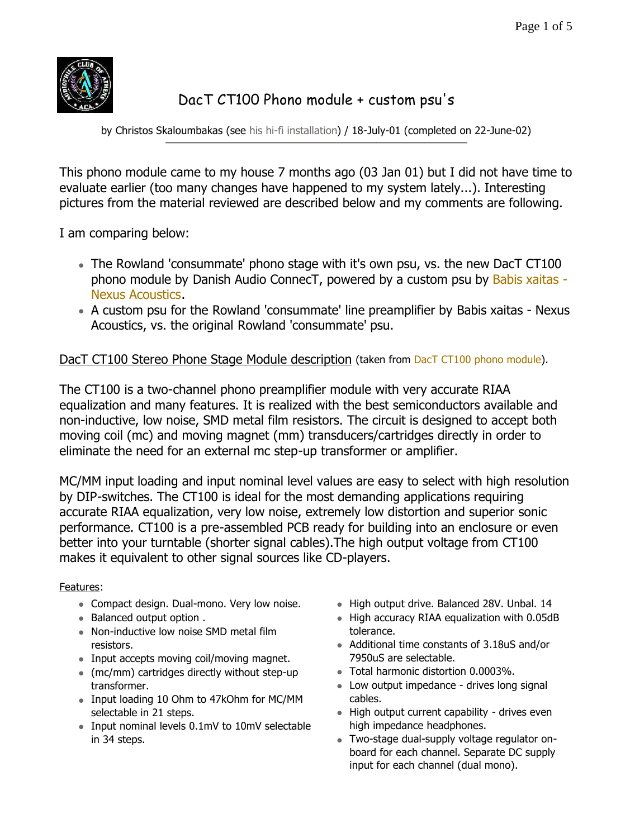

# DacT CT100 Phono module + custom psu's

by Christos Skaloumbakas (see his hi-fi installation) / 18-July-01 (completed on 22-June-02)

This phono module came to my house 7 months ago (03 Jan 01) but I did not have time to evaluate earlier (too many changes have happened to my system lately...). Interesting pictures from the material reviewed are described below and my comments are following.

I am comparing below:

- The Rowland 'consummate' phono stage with it's own psu, vs. the new DacT CT100 phono module by Danish Audio ConnecT, powered by a custom psu by Babis xaitas - Nexus Acoustics.
- A custom psu for the Rowland 'consummate' line preamplifier by Babis xaitas Nexus Acoustics, vs. the original Rowland 'consummate' psu.

## DacT CT100 Stereo Phone Stage Module description (taken from DacT CT100 phono module).

The CT100 is a two-channel phono preamplifier module with very accurate RIAA equalization and many features. It is realized with the best semiconductors available and non-inductive, low noise, SMD metal film resistors. The circuit is designed to accept both moving coil (mc) and moving magnet (mm) transducers/cartridges directly in order to eliminate the need for an external mc step-up transformer or amplifier.

MC/MM input loading and input nominal level values are easy to select with high resolution by DIP-switches. The CT100 is ideal for the most demanding applications requiring accurate RIAA equalization, very low noise, extremely low distortion and superior sonic performance. CT100 is a pre-assembled PCB ready for building into an enclosure or even better into your turntable (shorter signal cables).The high output voltage from CT100 makes it equivalent to other signal sources like CD-players.

#### Features:

- Compact design. Dual-mono. Very low noise.
- Balanced output option .
- Non-inductive low noise SMD metal film resistors.
- Input accepts moving coil/moving magnet.
- $\bullet$  (mc/mm) cartridges directly without step-up transformer.
- Input loading 10 Ohm to 47kOhm for MC/MM selectable in 21 steps.
- Input nominal levels 0.1mV to 10mV selectable in 34 steps.
- High output drive. Balanced 28V. Unbal. 14
- $\bullet$  High accuracy RIAA equalization with 0.05dB tolerance.
- Additional time constants of 3.18uS and/or 7950uS are selectable.
- Total harmonic distortion 0.0003%.
- Low output impedance drives long signal cables.
- $\bullet$  High output current capability drives even high impedance headphones.
- Two-stage dual-supply voltage regulator onboard for each channel. Separate DC supply input for each channel (dual mono).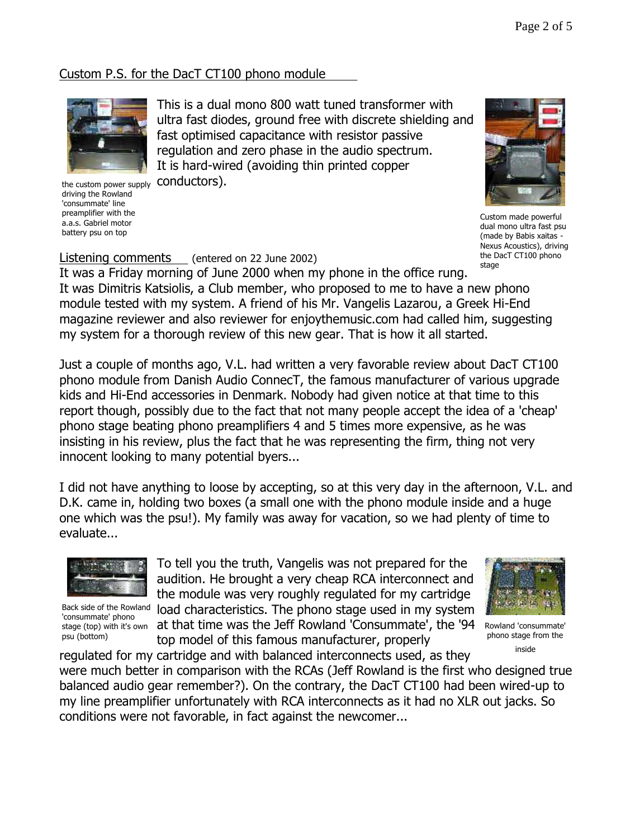# Custom P.S. for the DacT CT100 phono module



the custom power supply driving the Rowland 'consummate' line preamplifier with the a.a.s. Gabriel motor battery psu on top

This is a dual mono 800 watt tuned transformer with ultra fast diodes, ground free with discrete shielding and fast optimised capacitance with resistor passive regulation and zero phase in the audio spectrum. It is hard-wired (avoiding thin printed copper conductors).



Custom made powerful dual mono ultra fast psu (made by Babis xaitas - Nexus Acoustics), driving the DacT CT100 phono stage

#### Listening comments (entered on 22 June 2002)

It was a Friday morning of June 2000 when my phone in the office rung. It was Dimitris Katsiolis, a Club member, who proposed to me to have a new phono module tested with my system. A friend of his Mr. Vangelis Lazarou, a Greek Hi-End magazine reviewer and also reviewer for enjoythemusic.com had called him, suggesting my system for a thorough review of this new gear. That is how it all started.

Just a couple of months ago, V.L. had written a very favorable review about DacT CT100 phono module from Danish Audio ConnecT, the famous manufacturer of various upgrade kids and Hi-End accessories in Denmark. Nobody had given notice at that time to this report though, possibly due to the fact that not many people accept the idea of a 'cheap' phono stage beating phono preamplifiers 4 and 5 times more expensive, as he was insisting in his review, plus the fact that he was representing the firm, thing not very innocent looking to many potential byers...

I did not have anything to loose by accepting, so at this very day in the afternoon, V.L. and D.K. came in, holding two boxes (a small one with the phono module inside and a huge one which was the psu!). My family was away for vacation, so we had plenty of time to evaluate...



Back side of the Rowland 'consummate' phono stage (top) with it's own psu (bottom)

To tell you the truth, Vangelis was not prepared for the audition. He brought a very cheap RCA interconnect and the module was very roughly regulated for my cartridge load characteristics. The phono stage used in my system at that time was the Jeff Rowland 'Consummate', the '94 top model of this famous manufacturer, properly



Rowland 'consummate' phono stage from the inside

regulated for my cartridge and with balanced interconnects used, as they were much better in comparison with the RCAs (Jeff Rowland is the first who designed true balanced audio gear remember?). On the contrary, the DacT CT100 had been wired-up to my line preamplifier unfortunately with RCA interconnects as it had no XLR out jacks. So conditions were not favorable, in fact against the newcomer...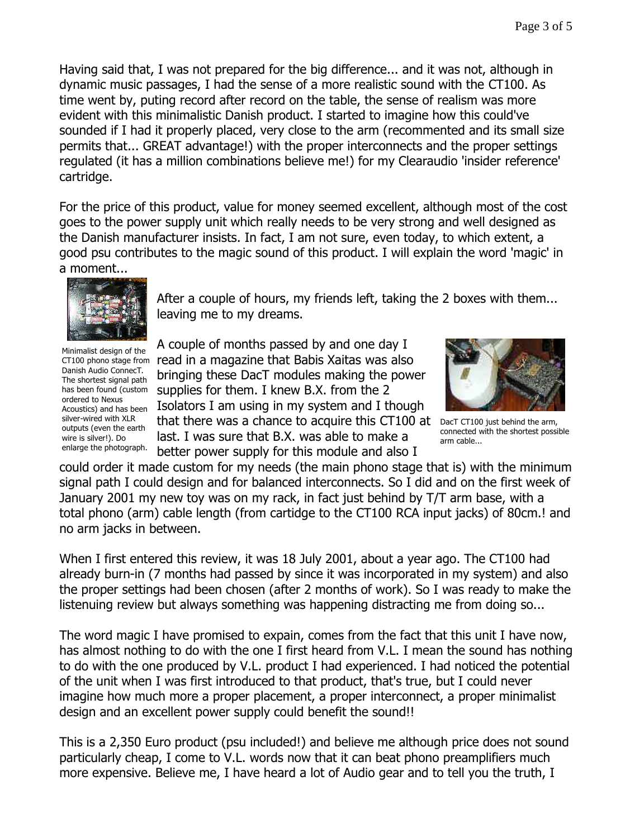Having said that, I was not prepared for the big difference... and it was not, although in dynamic music passages, I had the sense of a more realistic sound with the CT100. As time went by, puting record after record on the table, the sense of realism was more evident with this minimalistic Danish product. I started to imagine how this could've sounded if I had it properly placed, very close to the arm (recommented and its small size permits that... GREAT advantage!) with the proper interconnects and the proper settings regulated (it has a million combinations believe me!) for my Clearaudio 'insider reference' cartridge.

For the price of this product, value for money seemed excellent, although most of the cost goes to the power supply unit which really needs to be very strong and well designed as the Danish manufacturer insists. In fact, I am not sure, even today, to which extent, a good psu contributes to the magic sound of this product. I will explain the word 'magic' in a moment...



After a couple of hours, my friends left, taking the 2 boxes with them... leaving me to my dreams.

Minimalist design of the Danish Audio ConnecT. The shortest signal path has been found (custom ordered to Nexus Acoustics) and has been silver-wired with XLR outputs (even the earth wire is silver!). Do enlarge the photograph.

A couple of months passed by and one day I CT100 phono stage from read in a magazine that Babis Xaitas was also bringing these DacT modules making the power supplies for them. I knew B.X. from the 2 Isolators I am using in my system and I though that there was a chance to acquire this CT100 at last. I was sure that B.X. was able to make a better power supply for this module and also I



DacT CT100 just behind the arm, connected with the shortest possible arm cable...

could order it made custom for my needs (the main phono stage that is) with the minimum signal path I could design and for balanced interconnects. So I did and on the first week of January 2001 my new toy was on my rack, in fact just behind by T/T arm base, with a total phono (arm) cable length (from cartidge to the CT100 RCA input jacks) of 80cm.! and no arm jacks in between.

When I first entered this review, it was 18 July 2001, about a year ago. The CT100 had already burn-in (7 months had passed by since it was incorporated in my system) and also the proper settings had been chosen (after 2 months of work). So I was ready to make the listenuing review but always something was happening distracting me from doing so...

The word magic I have promised to expain, comes from the fact that this unit I have now, has almost nothing to do with the one I first heard from V.L. I mean the sound has nothing to do with the one produced by V.L. product I had experienced. I had noticed the potential of the unit when I was first introduced to that product, that's true, but I could never imagine how much more a proper placement, a proper interconnect, a proper minimalist design and an excellent power supply could benefit the sound!!

This is a 2,350 Euro product (psu included!) and believe me although price does not sound particularly cheap, I come to V.L. words now that it can beat phono preamplifiers much more expensive. Believe me, I have heard a lot of Audio gear and to tell you the truth, I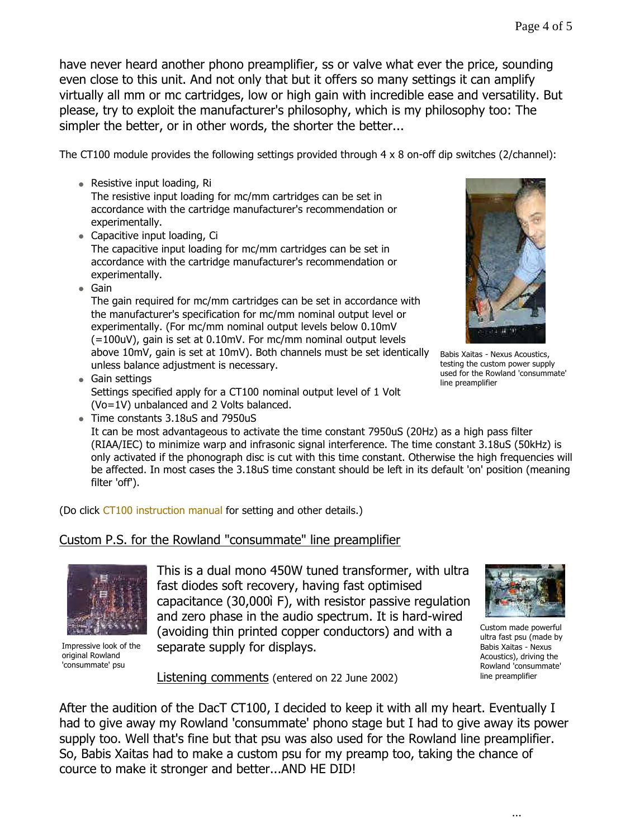have never heard another phono preamplifier, ss or valve what ever the price, sounding even close to this unit. And not only that but it offers so many settings it can amplify virtually all mm or mc cartridges, low or high gain with incredible ease and versatility. But please, try to exploit the manufacturer's philosophy, which is my philosophy too: The simpler the better, or in other words, the shorter the better...

The CT100 module provides the following settings provided through 4 x 8 on-off dip switches (2/channel):

• Resistive input loading,  $Ri$ 

The resistive input loading for mc/mm cartridges can be set in accordance with the cartridge manufacturer's recommendation or experimentally.

• Capacitive input loading, Ci

The capacitive input loading for mc/mm cartridges can be set in accordance with the cartridge manufacturer's recommendation or experimentally.

 $\bullet$  Gain

The gain required for mc/mm cartridges can be set in accordance with the manufacturer's specification for mc/mm nominal output level or experimentally. (For mc/mm nominal output levels below 0.10mV (=100uV), gain is set at 0.10mV. For mc/mm nominal output levels above 10mV, gain is set at 10mV). Both channels must be set identically unless balance adjustment is necessary.

- $\bullet$  Gain settings Settings specified apply for a CT100 nominal output level of 1 Volt (Vo=1V) unbalanced and 2 Volts balanced.
- Time constants 3.18uS and 7950uS

It can be most advantageous to activate the time constant 7950uS (20Hz) as a high pass filter (RIAA/IEC) to minimize warp and infrasonic signal interference. The time constant 3.18uS (50kHz) is only activated if the phonograph disc is cut with this time constant. Otherwise the high frequencies will be affected. In most cases the 3.18uS time constant should be left in its default 'on' position (meaning filter 'off').

(Do click CT100 instruction manual for setting and other details.)

### Custom P.S. for the Rowland "consummate" line preamplifier



Impressive look of the original Rowland 'consummate' psu

This is a dual mono 450W tuned transformer, with ultra fast diodes soft recovery, having fast optimised capacitance (30,000ì F), with resistor passive regulation and zero phase in the audio spectrum. It is hard-wired (avoiding thin printed copper conductors) and with a separate supply for displays.



Babis Xaitas - Nexus Acoustics, testing the custom power supply used for the Rowland 'consummate'

line preamplifier

Custom made powerful ultra fast psu (made by Babis Xaitas - Nexus Acoustics), driving the Rowland 'consummate' line preamplifier

Listening comments (entered on 22 June 2002)

After the audition of the DacT CT100, I decided to keep it with all my heart. Eventually I had to give away my Rowland 'consummate' phono stage but I had to give away its power supply too. Well that's fine but that psu was also used for the Rowland line preamplifier. So, Babis Xaitas had to make a custom psu for my preamp too, taking the chance of cource to make it stronger and better...AND HE DID!